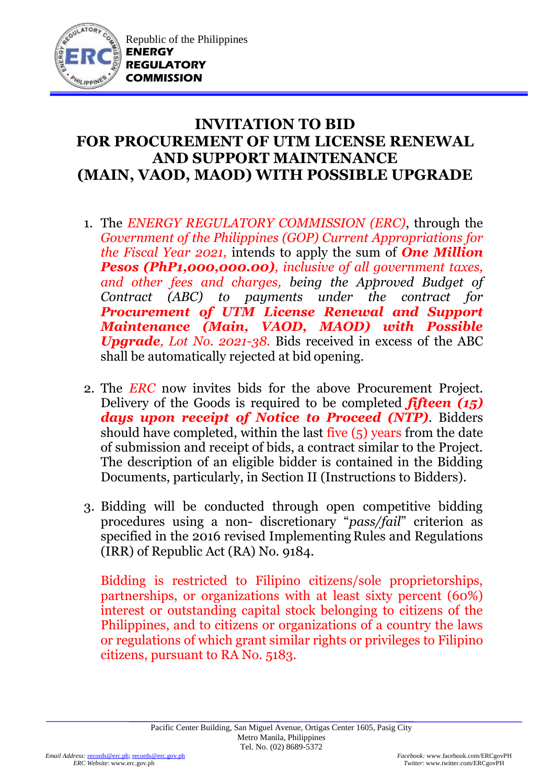

## **INVITATION TO BID FOR PROCUREMENT OF UTM LICENSE RENEWAL AND SUPPORT MAINTENANCE (MAIN, VAOD, MAOD) WITH POSSIBLE UPGRADE**

- 1. The *ENERGY REGULATORY COMMISSION (ERC)*, through the *Government of the Philippines (GOP) Current Appropriations for the Fiscal Year 2021,* intends to apply the sum of *One Million Pesos (PhP1,000,000.00), inclusive of all government taxes, and other fees and charges, being the Approved Budget of Contract (ABC) to payments under the contract for Procurement of UTM License Renewal and Support Maintenance (Main, VAOD, MAOD) with Possible Upgrade, Lot No. 2021-38.* Bids received in excess of the ABC shall be automatically rejected at bid opening.
- 2. The *ERC* now invites bids for the above Procurement Project. Delivery of the Goods is required to be completed *fifteen (15) days upon receipt of Notice to Proceed (NTP)*. Bidders should have completed, within the last five (5) years from the date of submission and receipt of bids, a contract similar to the Project. The description of an eligible bidder is contained in the Bidding Documents, particularly, in Section II (Instructions to Bidders).
- 3. Bidding will be conducted through open competitive bidding procedures using a non- discretionary "*pass/fail*" criterion as specified in the 2016 revised Implementing Rules and Regulations (IRR) of Republic Act (RA) No. 9184.

Bidding is restricted to Filipino citizens/sole proprietorships, partnerships, or organizations with at least sixty percent (60%) interest or outstanding capital stock belonging to citizens of the Philippines, and to citizens or organizations of a country the laws or regulations of which grant similar rights or privileges to Filipino citizens, pursuant to RA No. 5183.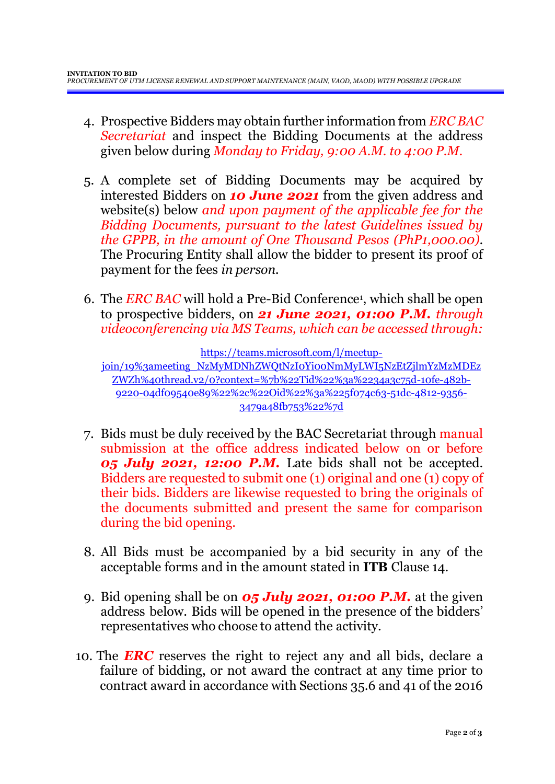- 4. Prospective Bidders may obtain further information from *ERC BAC Secretariat* and inspect the Bidding Documents at the address given below during *Monday to Friday, 9:00 A.M. to 4:00 P.M*.
- 5. A complete set of Bidding Documents may be acquired by interested Bidders on *10 June 2021* from the given address and website(s) below *and upon payment of the applicable fee for the Bidding Documents, pursuant to the latest Guidelines issued by the GPPB, in the amount of One Thousand Pesos (PhP1,000.00)*. The Procuring Entity shall allow the bidder to present its proof of payment for the fees *in person.*
- 6. The *ERC BAC* will hold a Pre-Bid Conference<sup>1</sup> , which shall be open to prospective bidders, on *21 June 2021, 01:00 P.M. through videoconferencing via MS Teams, which can be accessed through:*

[https://teams.microsoft.com/l/meetup-](https://teams.microsoft.com/l/meetup-join/19%3ameeting_NzMyMDNhZWQtNzI0Yi00NmMyLWI5NzEtZjlmYzMzMDEzZWZh%40thread.v2/0?context=%7b%22Tid%22%3a%2234a3c75d-10fe-482b-9220-04df09540e89%22%2c%22Oid%22%3a%225f074c63-51dc-4812-9356-3479a48fb753%22%7d)

[join/19%3ameeting\\_NzMyMDNhZWQtNzI0Yi00NmMyLWI5NzEtZjlmYzMzMDEz](https://teams.microsoft.com/l/meetup-join/19%3ameeting_NzMyMDNhZWQtNzI0Yi00NmMyLWI5NzEtZjlmYzMzMDEzZWZh%40thread.v2/0?context=%7b%22Tid%22%3a%2234a3c75d-10fe-482b-9220-04df09540e89%22%2c%22Oid%22%3a%225f074c63-51dc-4812-9356-3479a48fb753%22%7d) [ZWZh%40thread.v2/0?context=%7b%22Tid%22%3a%2234a3c75d-10fe-482b-](https://teams.microsoft.com/l/meetup-join/19%3ameeting_NzMyMDNhZWQtNzI0Yi00NmMyLWI5NzEtZjlmYzMzMDEzZWZh%40thread.v2/0?context=%7b%22Tid%22%3a%2234a3c75d-10fe-482b-9220-04df09540e89%22%2c%22Oid%22%3a%225f074c63-51dc-4812-9356-3479a48fb753%22%7d)[9220-04df09540e89%22%2c%22Oid%22%3a%225f074c63-51dc-4812-9356-](https://teams.microsoft.com/l/meetup-join/19%3ameeting_NzMyMDNhZWQtNzI0Yi00NmMyLWI5NzEtZjlmYzMzMDEzZWZh%40thread.v2/0?context=%7b%22Tid%22%3a%2234a3c75d-10fe-482b-9220-04df09540e89%22%2c%22Oid%22%3a%225f074c63-51dc-4812-9356-3479a48fb753%22%7d) [3479a48fb753%22%7d](https://teams.microsoft.com/l/meetup-join/19%3ameeting_NzMyMDNhZWQtNzI0Yi00NmMyLWI5NzEtZjlmYzMzMDEzZWZh%40thread.v2/0?context=%7b%22Tid%22%3a%2234a3c75d-10fe-482b-9220-04df09540e89%22%2c%22Oid%22%3a%225f074c63-51dc-4812-9356-3479a48fb753%22%7d)

- 7. Bids must be duly received by the BAC Secretariat through manual submission at the office address indicated below on or before *05 July 2021, 12:00 P.M.* Late bids shall not be accepted. Bidders are requested to submit one (1) original and one (1) copy of their bids. Bidders are likewise requested to bring the originals of the documents submitted and present the same for comparison during the bid opening.
- 8. All Bids must be accompanied by a bid security in any of the acceptable forms and in the amount stated in **ITB** Clause 14.
- 9. Bid opening shall be on *05 July 2021, 01:00 P.M.* at the given address below. Bids will be opened in the presence of the bidders' representatives who choose to attend the activity.
- 10. The *ERC* reserves the right to reject any and all bids, declare a failure of bidding, or not award the contract at any time prior to contract award in accordance with Sections 35.6 and 41 of the 2016